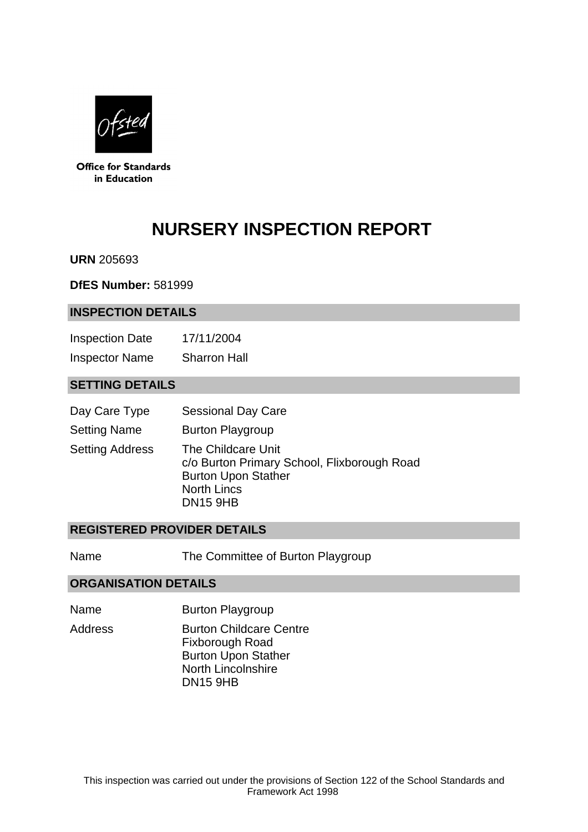

**Office for Standards** in Education

# **NURSERY INSPECTION REPORT**

**URN** 205693

**DfES Number:** 581999

#### **INSPECTION DETAILS**

Inspection Date 17/11/2004 Inspector Name Sharron Hall

## **SETTING DETAILS**

- Day Care Type Sessional Day Care
- Setting Name Burton Playgroup

Setting Address The Childcare Unit c/o Burton Primary School, Flixborough Road Burton Upon Stather North Lincs DN15 9HB

#### **REGISTERED PROVIDER DETAILS**

Name The Committee of Burton Playgroup

#### **ORGANISATION DETAILS**

- Name Burton Playgroup
- Address **Burton Childcare Centre** Fixborough Road Burton Upon Stather North Lincolnshire DN15 9HB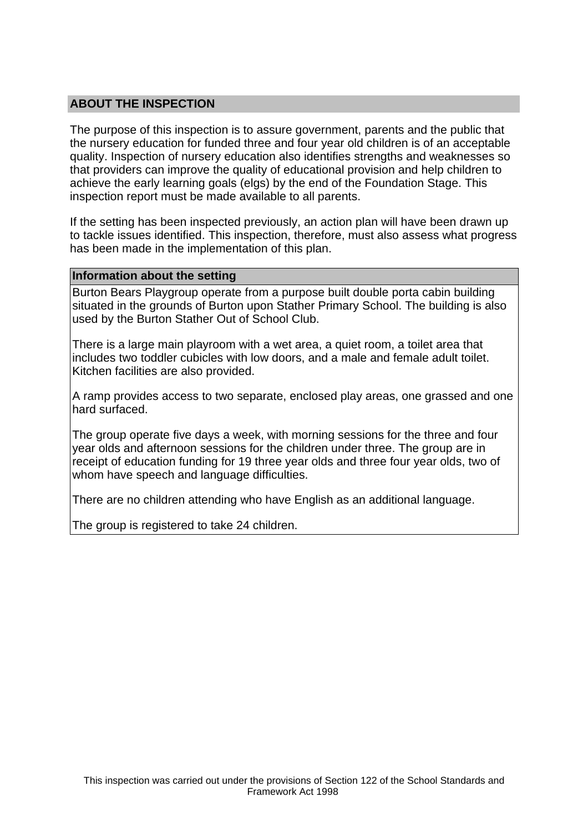## **ABOUT THE INSPECTION**

The purpose of this inspection is to assure government, parents and the public that the nursery education for funded three and four year old children is of an acceptable quality. Inspection of nursery education also identifies strengths and weaknesses so that providers can improve the quality of educational provision and help children to achieve the early learning goals (elgs) by the end of the Foundation Stage. This inspection report must be made available to all parents.

If the setting has been inspected previously, an action plan will have been drawn up to tackle issues identified. This inspection, therefore, must also assess what progress has been made in the implementation of this plan.

#### **Information about the setting**

Burton Bears Playgroup operate from a purpose built double porta cabin building situated in the grounds of Burton upon Stather Primary School. The building is also used by the Burton Stather Out of School Club.

There is a large main playroom with a wet area, a quiet room, a toilet area that includes two toddler cubicles with low doors, and a male and female adult toilet. Kitchen facilities are also provided.

A ramp provides access to two separate, enclosed play areas, one grassed and one hard surfaced.

The group operate five days a week, with morning sessions for the three and four year olds and afternoon sessions for the children under three. The group are in receipt of education funding for 19 three year olds and three four year olds, two of whom have speech and language difficulties.

There are no children attending who have English as an additional language.

The group is registered to take 24 children.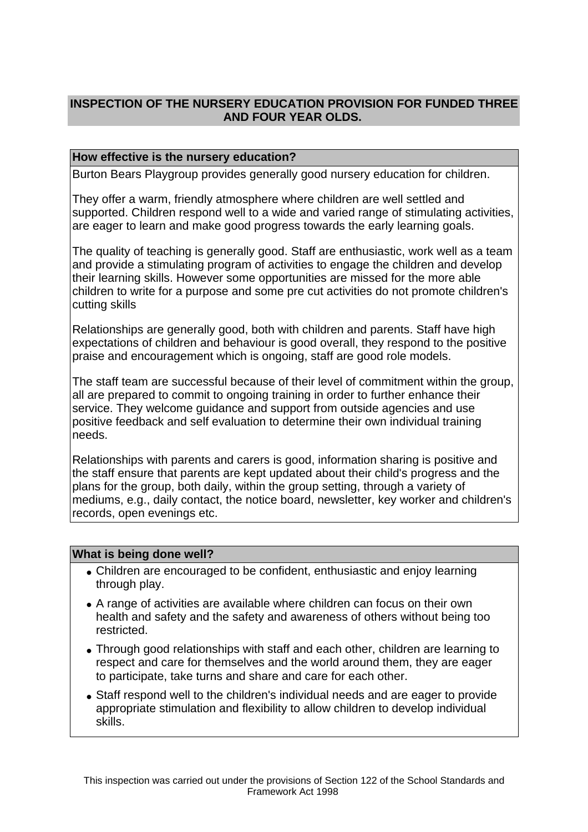# **INSPECTION OF THE NURSERY EDUCATION PROVISION FOR FUNDED THREE AND FOUR YEAR OLDS.**

## **How effective is the nursery education?**

Burton Bears Playgroup provides generally good nursery education for children.

They offer a warm, friendly atmosphere where children are well settled and supported. Children respond well to a wide and varied range of stimulating activities, are eager to learn and make good progress towards the early learning goals.

The quality of teaching is generally good. Staff are enthusiastic, work well as a team and provide a stimulating program of activities to engage the children and develop their learning skills. However some opportunities are missed for the more able children to write for a purpose and some pre cut activities do not promote children's cutting skills

Relationships are generally good, both with children and parents. Staff have high expectations of children and behaviour is good overall, they respond to the positive praise and encouragement which is ongoing, staff are good role models.

The staff team are successful because of their level of commitment within the group, all are prepared to commit to ongoing training in order to further enhance their service. They welcome guidance and support from outside agencies and use positive feedback and self evaluation to determine their own individual training needs.

Relationships with parents and carers is good, information sharing is positive and the staff ensure that parents are kept updated about their child's progress and the plans for the group, both daily, within the group setting, through a variety of mediums, e.g., daily contact, the notice board, newsletter, key worker and children's records, open evenings etc.

#### **What is being done well?**

- Children are encouraged to be confident, enthusiastic and enjoy learning through play.
- A range of activities are available where children can focus on their own health and safety and the safety and awareness of others without being too restricted.
- Through good relationships with staff and each other, children are learning to respect and care for themselves and the world around them, they are eager to participate, take turns and share and care for each other.
- Staff respond well to the children's individual needs and are eager to provide appropriate stimulation and flexibility to allow children to develop individual skills.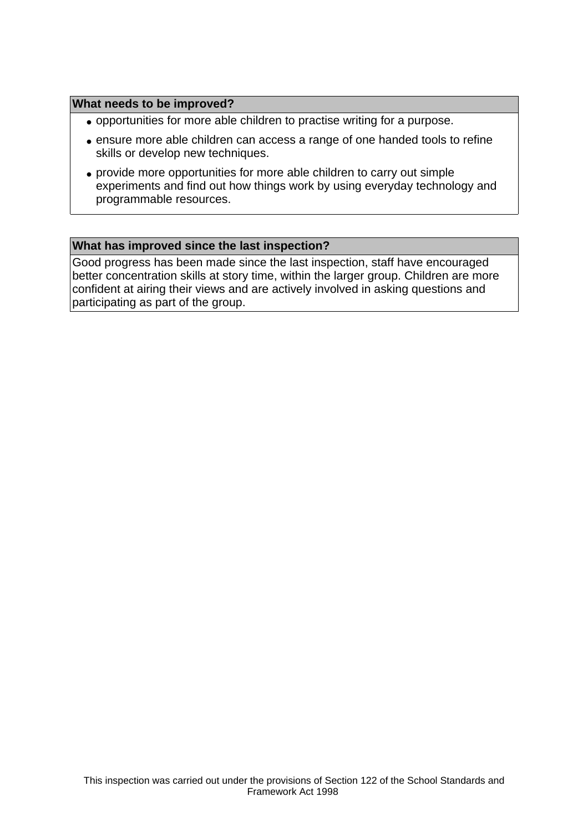#### **What needs to be improved?**

- opportunities for more able children to practise writing for a purpose.
- ensure more able children can access a range of one handed tools to refine skills or develop new techniques.
- provide more opportunities for more able children to carry out simple experiments and find out how things work by using everyday technology and programmable resources.

#### **What has improved since the last inspection?**

Good progress has been made since the last inspection, staff have encouraged better concentration skills at story time, within the larger group. Children are more confident at airing their views and are actively involved in asking questions and participating as part of the group.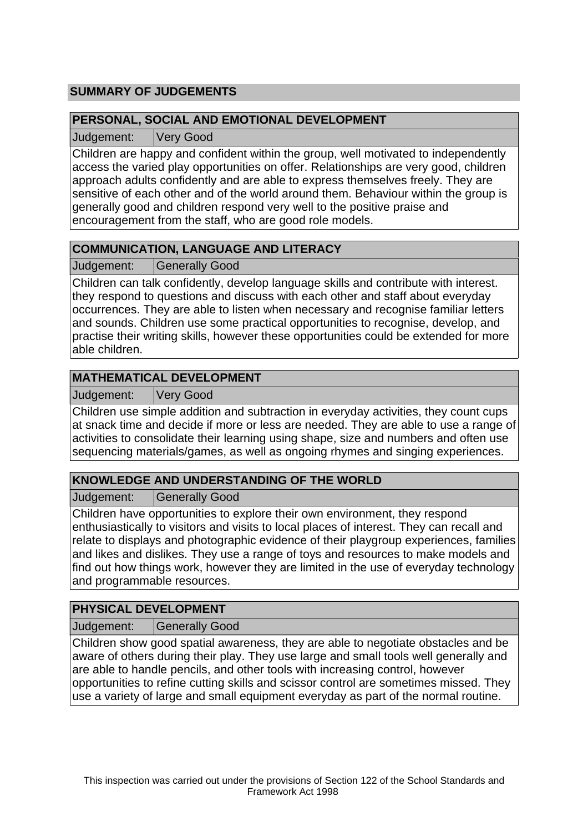# **SUMMARY OF JUDGEMENTS**

## **PERSONAL, SOCIAL AND EMOTIONAL DEVELOPMENT**

Judgement: Very Good

Children are happy and confident within the group, well motivated to independently access the varied play opportunities on offer. Relationships are very good, children approach adults confidently and are able to express themselves freely. They are sensitive of each other and of the world around them. Behaviour within the group is generally good and children respond very well to the positive praise and encouragement from the staff, who are good role models.

# **COMMUNICATION, LANGUAGE AND LITERACY**

Judgement: Generally Good

Children can talk confidently, develop language skills and contribute with interest. they respond to questions and discuss with each other and staff about everyday occurrences. They are able to listen when necessary and recognise familiar letters and sounds. Children use some practical opportunities to recognise, develop, and practise their writing skills, however these opportunities could be extended for more able children.

# **MATHEMATICAL DEVELOPMENT**

Judgement: Very Good

Children use simple addition and subtraction in everyday activities, they count cups at snack time and decide if more or less are needed. They are able to use a range of activities to consolidate their learning using shape, size and numbers and often use sequencing materials/games, as well as ongoing rhymes and singing experiences.

# **KNOWLEDGE AND UNDERSTANDING OF THE WORLD**

Judgement: | Generally Good

Children have opportunities to explore their own environment, they respond enthusiastically to visitors and visits to local places of interest. They can recall and relate to displays and photographic evidence of their playgroup experiences, families and likes and dislikes. They use a range of toys and resources to make models and find out how things work, however they are limited in the use of everyday technology and programmable resources.

# **PHYSICAL DEVELOPMENT**

Judgement: | Generally Good

Children show good spatial awareness, they are able to negotiate obstacles and be aware of others during their play. They use large and small tools well generally and are able to handle pencils, and other tools with increasing control, however opportunities to refine cutting skills and scissor control are sometimes missed. They use a variety of large and small equipment everyday as part of the normal routine.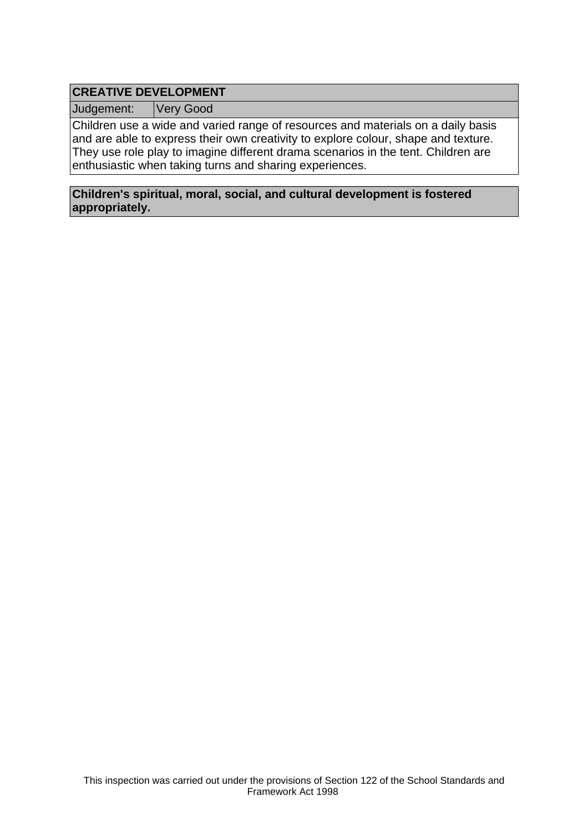# **CREATIVE DEVELOPMENT**

Judgement: Very Good

Children use a wide and varied range of resources and materials on a daily basis and are able to express their own creativity to explore colour, shape and texture. They use role play to imagine different drama scenarios in the tent. Children are enthusiastic when taking turns and sharing experiences.

## **Children's spiritual, moral, social, and cultural development is fostered appropriately.**